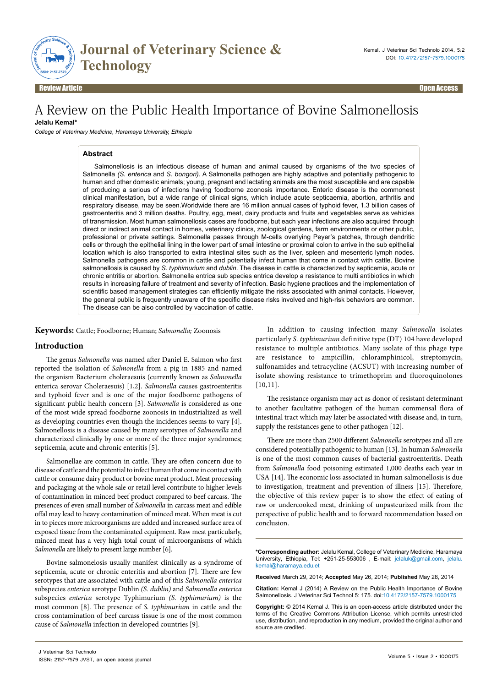

# A Review on the Public Health Importance of Bovine Salmonellosis

## **Jelalu Kemal\***

*College of Veterinary Medicine, Haramaya University, Ethiopia*

## **Abstract**

Salmonellosis is an infectious disease of human and animal caused by organisms of the two species of Salmonella *(S. enterica* and *S. bongori)*. A Salmonella pathogen are highly adaptive and potentially pathogenic to human and other domestic animals; young, pregnant and lactating animals are the most susceptible and are capable of producing a serious of infections having foodborne zoonosis importance. Enteric disease is the commonest clinical manifestation, but a wide range of clinical signs, which include acute septicaemia, abortion, arthritis and respiratory disease, may be seen.Worldwide there are 16 million annual cases of typhoid fever, 1.3 billion cases of gastroenteritis and 3 million deaths. Poultry, egg, meat, dairy products and fruits and vegetables serve as vehicles of transmission. Most human salmonellosis cases are foodborne, but each year infections are also acquired through direct or indirect animal contact in homes, veterinary clinics, zoological gardens, farm environments or other public, professional or private settings. Salmonella passes through M-cells overlying Peyer's patches, through dendritic cells or through the epithelial lining in the lower part of small intestine or proximal colon to arrive in the sub epithelial location which is also transported to extra intestinal sites such as the liver, spleen and mesenteric lymph nodes. Salmonella pathogens are common in cattle and potentially infect human that come in contact with cattle. Bovine salmonellosis is caused by *S. typhimurium* and *dublin*. The disease in cattle is characterized by septicemia, acute or chronic entritis or abortion. Salmonella entrica sub species entrica develop a resistance to multi antibiotics in which results in increasing failure of treatment and severity of infection. Basic hygiene practices and the implementation of scientific based management strategies can efficiently mitigate the risks associated with animal contacts. However, the general public is frequently unaware of the specific disease risks involved and high-risk behaviors are common. The disease can be also controlled by vaccination of cattle.

**Keywords:** Cattle; Foodborne; Human; *Salmonella;* Zoonosis

## **Introduction**

The genus *Salmonella* was named after Daniel E. Salmon who first reported the isolation of *Salmonella* from a pig in 1885 and named the organism Bacterium choleraesuis (currently known as *Salmonella* enterica serovar Choleraesuis) [1,2]. *Salmonella* causes gastroenteritis and typhoid fever and is one of the major foodborne pathogens of significant public health concern [3]. *Salmonella* is considered as one of the most wide spread foodborne zoonosis in industrialized as well as developing countries even though the incidences seems to vary [4]. Salmonellosis is a disease caused by many serotypes of *Salmonella* and characterized clinically by one or more of the three major syndromes; septicemia, acute and chronic enteritis [5].

Salmonellae are common in cattle. They are often concern due to disease of cattle and the potential to infect human that come in contact with cattle or consume dairy product or bovine meat product. Meat processing and packaging at the whole sale or retail level contribute to higher levels of contamination in minced beef product compared to beef carcass. The presences of even small number of *Salmonella* in carcass meat and edible offal may lead to heavy contamination of minced meat. When meat is cut in to pieces more microorganisms are added and increased surface area of exposed tissue from the contaminated equipment. Raw meat particularly, minced meat has a very high total count of microorganisms of which *Salmonella* are likely to present large number [6].

Bovine salmonelosis usually manifest clinically as a syndrome of septicemia, acute or chronic enteritis and abortion [7]. There are few serotypes that are associated with cattle and of this *Salmonella enterica* subspecies *enterica* serotype Dublin *(S. dublin)* and *Salmonella enterica*  subspecies *enterica* serotype Typhimurium *(S. typhimurium)* is the most common [8]. The presence of *S. typhimurium* in cattle and the cross contamination of beef carcass tissue is one of the most common cause of *Salmonella* infection in developed countries [9].

In addition to causing infection many *Salmonella* isolates particularly *S. typhimurium* definitive type (DT) 104 have developed resistance to multiple antibiotics. Many isolate of this phage type are resistance to ampicillin, chloramphinicol, streptomycin, sulfonamides and tetracycline (ACSUT) with increasing number of isolate showing resistance to trimethoprim and fluoroquinolones [10,11].

The resistance organism may act as donor of resistant determinant to another facultative pathogen of the human commensal flora of intestinal tract which may later be associated with disease and, in turn, supply the resistances gene to other pathogen [12].

There are more than 2500 different *Salmonella* serotypes and all are considered potentially pathogenic to human [13]. In human *Salmonella* is one of the most common causes of bacterial gastroenteritis. Death from *Salmonella* food poisoning estimated 1,000 deaths each year in USA [14]. The economic loss associated in human salmonellosis is due to investigation, treatment and prevention of illness [15]. Therefore, the objective of this review paper is to show the effect of eating of raw or undercooked meat, drinking of unpasteurized milk from the perspective of public health and to forward recommendation based on conclusion.

**\*Corresponding author:** Jelalu Kemal, College of Veterinary Medicine, Haramaya University, Ethiopia, Tel: +251-25-553006, E-mail: jelaluk@gmail.com, jelalu. kemal@haramaya.edu.et

**Received** March 29, 2014; **Accepted** May 26, 2014; **Published** May 28, 2014

**Citation:** Kemal J (2014) A Review on the Public Health Importance of Bovine almonellosis. J Veterinar Sci Technol 5: 175. doi:10.4172/2157-7579.1000175

**Copyright:** © 2014 Kemal J. This is an open-access article distributed under the terms of the Creative Commons Attribution License, which permits unrestricted use, distribution, and reproduction in any medium, provided the original author and source are credited.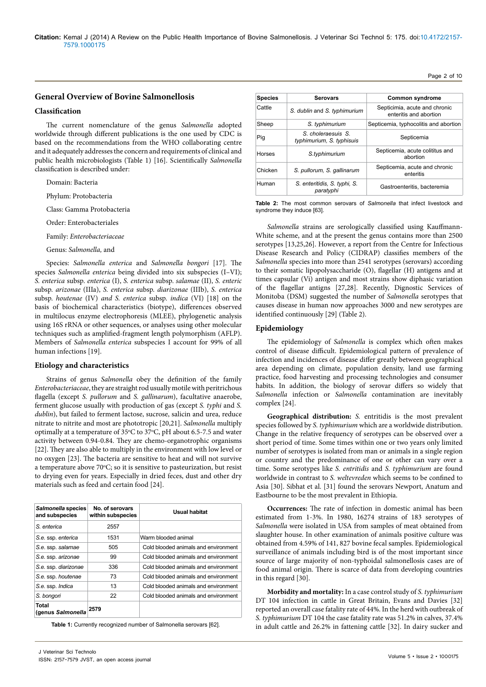# **General Overview of Bovine Salmonellosis**

#### **Classification**

The current nomenclature of the genus *Salmonella* adopted worldwide through different publications is the one used by CDC is based on the recommendations from the WHO collaborating centre and it adequately addresses the concern and requirements of clinical and public health microbiologists (Table 1) [16]. Scientifically *Salmonella* classification is described under:

Domain: Bacteria

Phylum: Protobacteria

Class: Gamma Protobacteria

Order: Enterobacteriales

Family: *Enterobacteriaceae*

Genus: *Salmonella,* and

Species: *Salmonella enterica* and *Salmonella bongori* [17]. The species *Salmonella enterica* being divided into six subspecies (I–VI); *S. enterica* subsp. *enterica* (I), *S. enterica* subsp. *salamae* (II), *S. enteric*  subsp. *arizonae* (IIIa), *S. enterica* subsp. *diarizonae* (IIIb), *S. enterica*  subsp. *houtenae* (IV) *and S. enterica* subsp. *indica* (VI) [18] on the basis of biochemical characteristics (biotype), differences observed in multilocus enzyme electrophoresis (MLEE), phylogenetic analysis using 16S rRNA or other sequences, or analyses using other molecular techniques such as amplified-fragment length polymorphism (AFLP). Members of *Salmonella enterica* subspecies I account for 99% of all human infections [19].

#### **Etiology and characteristics**

Strains of genus *Salmonella* obey the definition of the family *Enterobacteriaceae*, they are straight rod usually motile with peritrichous flagella (except *S. pullorum* and *S. gallinarum*), facultative anaerobe, ferment glucose usually with production of gas (except *S. typhi* and *S. dublin*), but failed to ferment lactose, sucrose, salicin and urea, reduce nitrate to nitrite and most are phototropic [20,21]. *Salmonella* multiply optimally at a temperature of  $35^{\circ}$ C to  $37^{\circ}$ C, pH about 6.5-7.5 and water activity between 0.94-0.84. They are chemo-organotrophic organisms [22]. They are also able to multiply in the environment with low level or no oxygen [23]. The bacteria are sensitive to heat and will not survive a temperature above 70°C; so it is sensitive to pasteurization, but resist to drying even for years. Especially in dried feces, dust and other dry materials such as feed and certain food [24].

| Salmonella species<br>and subspecies | No. of serovars<br>within subspecies | Usual habitat                        |
|--------------------------------------|--------------------------------------|--------------------------------------|
| S enterica                           | 2557                                 |                                      |
| S.e. ssp. enterica                   | 1531                                 | Warm blooded animal                  |
| S.e. ssp. salamae                    | 505                                  | Cold blooded animals and environment |
| S.e. ssp. arizonae                   | 99                                   | Cold blooded animals and environment |
| S.e. ssp. diarizonae                 | 336                                  | Cold blooded animals and environment |
| S.e. ssp. houtenae                   | 73                                   | Cold blooded animals and environment |
| S.e. ssp. Indica                     | 13                                   | Cold blooded animals and environment |
| S. bongori                           | 22                                   | Cold blooded animals and environment |
| Total<br>(genus Salmonella           | 2579                                 |                                      |

**Table 1:** Currently recognized number of Salmonella serovars [62].

| <b>Species</b> | <b>Serovars</b>                                 | <b>Common syndrome</b>                                  |
|----------------|-------------------------------------------------|---------------------------------------------------------|
| Cattle         | S. dublin and S. typhimurium                    | Septicimia, acute and chronic<br>enteritis and abortion |
| Sheep          | S. typhimurium                                  | Septicemia, typhocolitis and abortion                   |
| Pig            | S. choleraesuis S.<br>typhimurium, S. typhisuis | Septicemia                                              |
| Horses         | S.typhimurium                                   | Septicemia, acute colititus and<br>abortion             |
| Chicken        | S. pullorum, S. gallinarum                      | Septicemia, acute and chronic<br>enteritis              |
| Human          | S. enteritidis, S. typhi, S.<br>paratyphi       | Gastroenteritis, bacteremia                             |

**Table 2:** The most common serovars of *Salmonella* that infect livestock and syndrome they induce [63].

*Salmonella* strains are serologically classified using Kauffmann-White scheme, and at the present the genus contains more than 2500 serotypes [13,25,26]. However, a report from the Centre for Infectious Disease Research and Policy (CIDRAP) classifies members of the *Salmonella* species into more than 2541 serotypes (serovars) according to their somatic lipopolysaccharide (O), flagellar (H) antigens and at times capsular (Vi) antigen and most strains show diphasic variation of the flagellar antigns [27,28]. Recently, Dignostic Services of Monitoba (DSM) suggested the number of *Salmonella* serotypes that causes disease in human now approaches 3000 and new serotypes are identified continuously [29] (Table 2).

#### **Epidemiology**

The epidemiology of *Salmonella* is complex which often makes control of disease difficult. Epidemiological pattern of prevalence of infection and incidences of disease differ greatly between geographical area depending on climate, population density, land use farming practice, food harvesting and processing technologies and consumer habits. In addition, the biology of serovar differs so widely that *Salmonella* infection or *Salmonella* contamination are inevitably complex [24].

**Geographical distribution:** *S.* entritidis is the most prevalent species followed by *S. typhimurium* which are a worldwide distribution. Change in the relative frequency of serotypes can be observed over a short period of time. Some times within one or two years only limited number of serotypes is isolated from man or animals in a single region or country and the predominance of one or other can vary over a time. Some serotypes like *S. entritidis* and *S. typhimurium* are found worldwide in contrast to *S. weltevreden* which seems to be confined to Asia [30]. Sibhat et al. [31] found the serovars Newport, Anatum and Eastbourne to be the most prevalent in Ethiopia.

**Occurrences:** The rate of infection in domestic animal has been estimated from 1-3%. In 1980, 16274 strains of 183 serotypes of *Salmonella* were isolated in USA from samples of meat obtained from slaughter house. In other examination of animals positive culture was obtained from 4.59% of 141, 827 bovine fecal samples. Epidemiological surveillance of animals including bird is of the most important since source of large majority of non-typhoidal salmonellosis cases are of food animal origin. There is scarce of data from developing countries in this regard [30].

**Morbidity and mortality:** In a case control study of *S. typhimurium* DT 104 infection in cattle in Great Britain, Evans and Davies [32] reported an overall case fatality rate of 44%. In the herd with outbreak of *S. typhimurium* DT 104 the case fatality rate was 51.2% in calves, 37.4% in adult cattle and 26.2% in fattening cattle [32]. In dairy sucker and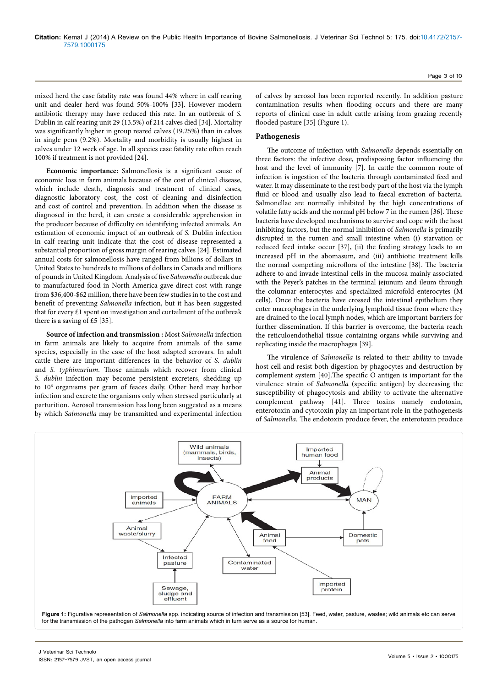mixed herd the case fatality rate was found 44% where in calf rearing unit and dealer herd was found 50%-100% [33]. However modern antibiotic therapy may have reduced this rate. In an outbreak of *S.* Dublin in calf rearing unit 29 (13.5%) of 214 calves died [34]. Mortality was significantly higher in group reared calves (19.25%) than in calves in single pens (9.2%). Mortality and morbidity is usually highest in calves under 12 week of age. In all species case fatality rate often reach 100% if treatment is not provided [24].

**Economic importance:** Salmonellosis is a significant cause of economic loss in farm animals because of the cost of clinical disease, which include death, diagnosis and treatment of clinical cases, diagnostic laboratory cost, the cost of cleaning and disinfection and cost of control and prevention. In addition when the disease is diagnosed in the herd, it can create a considerable apprehension in the producer because of difficulty on identifying infected animals. An estimation of economic impact of an outbreak of *S.* Dublin infection in calf rearing unit indicate that the cost of disease represented a substantial proportion of gross margin of rearing calves [24]. Estimated annual costs for salmonellosis have ranged from billions of dollars in United States to hundreds to millions of dollars in Canada and millions of pounds in United Kingdom. Analysis of five *Salmonella* outbreak due to manufactured food in North America gave direct cost with range from \$36,400-\$62 million, there have been few studies in to the cost and benefit of preventing *Salmonella* infection, but it has been suggested that for every £1 spent on investigation and curtailment of the outbreak there is a saving of £5 [35].

**Source of infection and transmission :** Most *Salmonella* infection in farm animals are likely to acquire from animals of the same species, especially in the case of the host adapted serovars. In adult cattle there are important differences in the behavior of *S. dublin* and *S. typhimurium*. Those animals which recover from clinical *S. dublin* infection may become persistent excreters, shedding up to 106 organisms per gram of feaces daily. Other herd may harbor infection and excrete the organisms only when stressed particularly at parturition. Aerosol transmission has long been suggested as a means by which *Salmonella* may be transmitted and experimental infection

of calves by aerosol has been reported recently. In addition pasture contamination results when flooding occurs and there are many reports of clinical case in adult cattle arising from grazing recently flooded pasture [35] (Figure 1).

## **Pathogenesis**

The outcome of infection with *Salmonella* depends essentially on three factors: the infective dose, predisposing factor influencing the host and the level of immunity [7]. In cattle the common route of infection is ingestion of the bacteria through contaminated feed and water. It may disseminate to the rest body part of the host via the lymph fluid or blood and usually also lead to faecal excretion of bacteria. Salmonellae are normally inhibited by the high concentrations of volatile fatty acids and the normal pH below 7 in the rumen [36]. These bacteria have developed mechanisms to survive and cope with the host inhibiting factors, but the normal inhibition of *Salmonella* is primarily disrupted in the rumen and small intestine when (i) starvation or reduced feed intake occur [37], (ii) the feeding strategy leads to an increased pH in the abomasum, and (iii) antibiotic treatment kills the normal competing microflora of the intestine [38]. The bacteria adhere to and invade intestinal cells in the mucosa mainly associated with the Peyer's patches in the terminal jejunum and ileum through the columnar enterocytes and specialized microfold enterocytes (M cells). Once the bacteria have crossed the intestinal epithelium they enter macrophages in the underlying lymphoid tissue from where they are drained to the local lymph nodes, which are important barriers for further dissemination. If this barrier is overcome, the bacteria reach the reticuloendothelial tissue containing organs while surviving and replicating inside the macrophages [39].

The virulence of *Salmonella* is related to their ability to invade host cell and resist both digestion by phagocytes and destruction by complement system [40].The specific O antigen is important for the virulence strain of *Salmonella* (specific antigen) by decreasing the susceptibility of phagocytosis and ability to activate the alternative complement pathway [41]. Three toxins namely endotoxin, enterotoxin and cytotoxin play an important role in the pathogenesis of *Salmonella.* The endotoxin produce fever, the enterotoxin produce

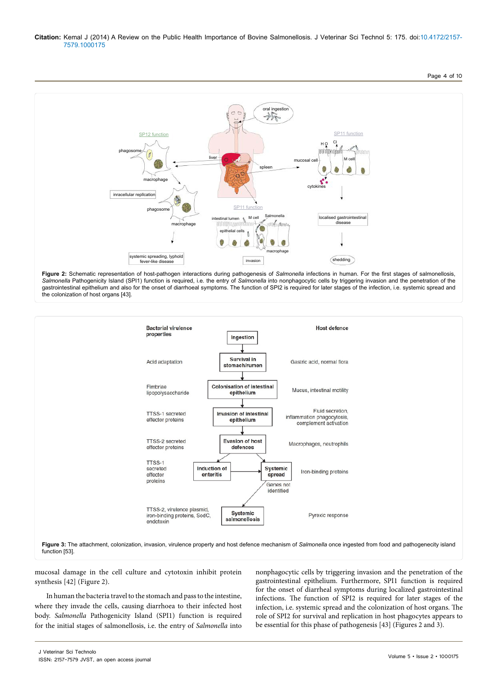#### **Citation:** Kemal J (2014) A Review on the Public Health Importance of Bovine Salmonellosis. J Veterinar Sci Technol 5: 175. doi:10.4172/2157- 7579.1000175





Figure 2: Schematic representation of host-pathogen interactions during pathogenesis of Salmonella infections in human. For the first stages of salmonellosis, *Salmonella* Pathogenicity Island (SPI1) function is required, i.e. the entry of *Salmonella* into nonphagocytic cells by triggering invasion and the penetration of the gastrointestinal epithelium and also for the onset of diarrhoeal symptoms. The function of SPI2 is required for later stages of the infection, i.e. systemic spread and the colonization of host organs [43].



mucosal damage in the cell culture and cytotoxin inhibit protein synthesis [42] (Figure 2).

In human the bacteria travel to the stomach and pass to the intestine, where they invade the cells, causing diarrhoea to their infected host body. *Salmonella* Pathogenicity Island (SPI1) function is required for the initial stages of salmonellosis, i.e. the entry of *Salmonella* into

nonphagocytic cells by triggering invasion and the penetration of the gastrointestinal epithelium. Furthermore, SPI1 function is required for the onset of diarrheal symptoms during localized gastrointestinal infections. The function of SPI2 is required for later stages of the infection, i.e. systemic spread and the colonization of host organs. The role of SPI2 for survival and replication in host phagocytes appears to be essential for this phase of pathogenesis [43] (Figures 2 and 3).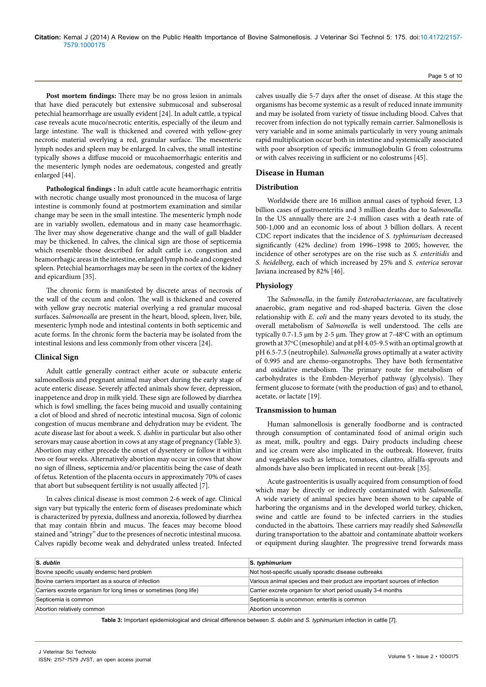**Post mortem findings:** There may be no gross lesion in animals that have died peracutely but extensive submucosal and subserosal petechial heamorrhage are usually evident [24]. In adult cattle, a typical case reveals acute muco/necrotic enteritis, especially of the ileum and large intestine. The wall is thickened and covered with yellow-grey necrotic material overlying a red, granular surface. The mesenteric lymph nodes and spleen may be enlarged. In calves, the small intestine typically shows a diffuse mucoid or mucohaemorrhagic enteritis and the mesenteric lymph nodes are oedematous, congested and greatly enlarged [44].

**Pathological findings :** In adult cattle acute heamorrhagic entritis with necrotic change usually most pronounced in the mucosa of large intestine is commonly found at postmortem examination and similar change may be seen in the small intestine. The mesenteric lymph node are in variably swollen, edematous and in many case heamorrhagic. The liver may show degenerative change and the wall of gall bladder may be thickened. In calves, the clinical sign are those of septicemia which resemble those described for adult cattle i.e. congestion and heamorrhagic areas in the intestine, enlarged lymph node and congested spleen. Petechial heamorrhages may be seen in the cortex of the kidney and epicardium [35].

The chronic form is manifested by discrete areas of necrosis of the wall of the cecum and colon. The wall is thickened and covered with yellow gray necrotic material overlying a red granular mucosal surfaces. *Salmonealla* are present in the heart, blood, spleen, liver, bile, mesenteric lymph node and intestinal contents in both septicemic and acute forms. In the chronic form the bacteria may be isolated from the intestinal lesions and less commonly from other viscera [24].

#### **Clinical Sign**

Adult cattle generally contract either acute or subacute enteric salmonellosis and pregnant animal may abort during the early stage of acute enteric disease. Severely affected animals show fever, depression, inappetence and drop in milk yield. These sign are followed by diarrhea which is fowl smelling, the faces being mucoid and usually containing a clot of blood and shred of necrotic intestinal mucosa. Sign of colonic congestion of mucus membrane and dehydration may be evident. The acute disease last for about a week. *S. dublin* in particular but also other serovars may cause abortion in cows at any stage of pregnancy (Table 3). Abortion may either precede the onset of dysentery or follow it within two or four weeks. Alternatively abortion may occur in cows that show no sign of illness, septicemia and/or placentitis being the case of death of fetus. Retention of the placenta occurs in approximately 70% of cases that abort but subsequent fertility is not usually affected [7].

In calves clinical disease is most common 2-6 week of age. Clinical sign vary but typically the enteric form of diseases predominate which is characterized by pyrexia, dullness and anorexia, followed by diarrhea that may contain fibrin and mucus. The feaces may become blood stained and "stringy" due to the presences of necrotic intestinal mucosa. Calves rapidly become weak and dehydrated unless treated. Infected calves usually die 5-7 days after the onset of disease. At this stage the organisms has become systemic as a result of reduced innate immunity and may be isolated from variety of tissue including blood. Calves that recover from infection do not typically remain carrier. Salmonellosis is very variable and in some animals particularly in very young animals rapid multiplication occur both in intestine and systemically associated with poor absorption of specific immunoglobulin G from colostrums or with calves receiving in sufficient or no colostrums [45].

## **Disease in Human**

#### **Distribution**

Worldwide there are 16 million annual cases of typhoid fever, 1.3 billion cases of gastroenteritis and 3 million deaths due to *Salmonella*. In the US annually there are 2-4 million cases with a death rate of 500-1,000 and an economic loss of about 3 billion dollars. A recent CDC report indicates that the incidence of *S. typhimurium* decreased significantly (42% decline) from 1996–1998 to 2005; however, the incidence of other serotypes are on the rise such as *S. enteritidis* and *S. heidelberg*, each of which increased by 25% and *S. enterica* serovar Javiana increased by 82% [46].

#### **Physiology**

The *Salmonella*, in the family *Enterobacteriaceae*, are facultatively anaerobic, gram negative and rod-shaped bacteria. Given the close relationship with *E. coli* and the many years devoted to its study, the overall metabolism of *Salmonella* is well understood. The cells are typically  $0.7$ -1.5  $\mu$ m by 2-5  $\mu$ m. They grow at 7-48°C with an optimum growth at 37°C (mesophile) and at pH 4.05-9.5 with an optimal growth at pH 6.5-7.5 (neutrophile). *Salmonella* grows optimally at a water activity of 0.995 and are chemo-organotrophs. They have both fermentative and oxidative metabolism. The primary route for metabolism of carbohydrates is the Embden-Meyerhof pathway (glycolysis). They ferment glucose to formate (with the production of gas) and to ethanol, acetate, or lactate [19].

#### **Transmission to human**

Human salmonellosis is generally foodborne and is contracted through consumption of contaminated food of animal origin such as meat, milk, poultry and eggs. Dairy products including cheese and ice cream were also implicated in the outbreak. However, fruits and vegetables such as lettuce, tomatoes, cilantro, alfalfa-sprouts and almonds have also been implicated in recent out-break [35].

Acute gastroenteritis is usually acquired from consumption of food which may be directly or indirectly contaminated with *Salmonella*. A wide variety of animal species have been shown to be capable of harboring the organisms and in the developed world turkey, chicken, swine and cattle are found to be infected carriers in the studies conducted in the abattoirs. These carriers may readily shed *Salmonella* during transportation to the abattoir and contaminate abattoir workers or equipment during slaughter. The progressive trend forwards mass

| S. dublin                                                         | $\mathsf{S}$ . typhimurium                                                  |
|-------------------------------------------------------------------|-----------------------------------------------------------------------------|
| Bovine specific usually endemic herd problem                      | Not host-specific usually sporadic disease outbreaks                        |
| Bovine carriers important as a source of infection                | Various animal species and their product are important sources of infection |
| Carriers excrete organism for long times or sometimes (long life) | Carrier excrete organism for short period usually 3-4 months                |
| Septicemia is common                                              | Septicemia is uncommon: enteritis is common                                 |
| Abortion relatively common                                        | Abortion uncommon                                                           |

**Table 3:** Important epidemiological and clinical difference between *S. dublin* and *S. typhimurium* infection in cattle [7].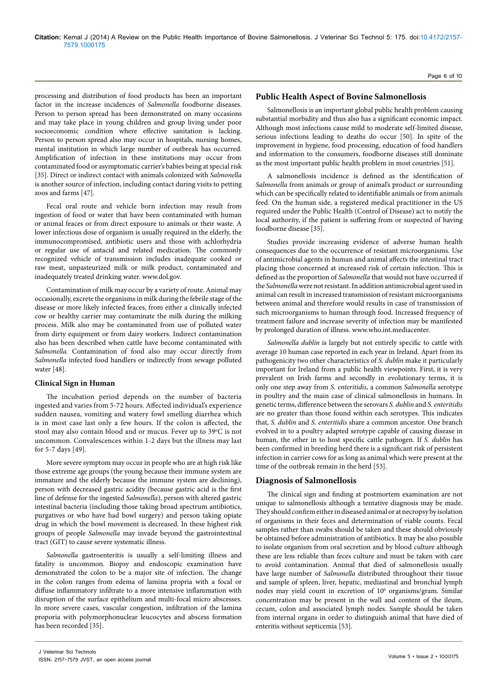processing and distribution of food products has been an important factor in the increase incidences of *Salmonella* foodborne diseases. Person to person spread has been demonstrated on many occasions and may take place in young children and group living under poor socioeconomic condition where effective sanitation is lacking. Person to person spread also may occur in hospitals, nursing homes, mental institution in which large number of outbreak has occurred. Amplification of infection in these institutions may occur from contaminated food or asymptomatic carrier's babies being at special risk [35]. Direct or indirect contact with animals colonized with *Salmonella* is another source of infection, including contact during visits to petting zoos and farms [47].

Fecal oral route and vehicle born infection may result from ingestion of food or water that have been contaminated with human or animal feaces or from direct exposure to animals or their waste. A lower infectious dose of organism is usually required in the elderly, the immunocompromised, antibiotic users and those with achlorhydria or regular use of antacid and related medication. The commonly recognized vehicle of transmission includes inadequate cooked or raw meat, unpasteurized milk or milk product, contaminated and inadequately treated drinking water. [www.dol.gov](http://www.dol.gov).

Contamination of milk may occur by a variety of route. Animal may occasionally, excrete the organisms in milk during the febrile stage of the disease or more likely infected feaces, from either a clinically infected cow or healthy carrier may contaminate the milk during the milking process. Milk also may be contaminated from use of polluted water from dirty equipment or from dairy workers. Indirect contamination also has been described when cattle have become contaminated with *Salmonella.* Contamination of food also may occur directly from *Salmonella* infected food handlers or indirectly from sewage polluted water [48].

## **Clinical Sign in Human**

The incubation period depends on the number of bacteria ingested and varies from 5-72 hours. Affected individual's experience sudden nausea, vomiting and watery fowl smelling diarrhea which is in most case last only a few hours. If the colon is affected, the stool may also contain blood and or mucus. Fever up to 39°C is not uncommon. Convalescences within 1-2 days but the illness may last for 5-7 days [49].

More severe symptom may occur in people who are at high risk like those extreme age groups (the young because their immune system are immature and the elderly because the immune system are declining), person with decreased gastric acidity (because gastric acid is the first line of defense for the ingested *Salmonella*), person with altered gastric intestinal bacteria (including those taking broad spectrum antibiotics, purgatives or who have had bowl surgery) and person taking opiate drug in which the bowl movement is decreased. In these highest risk groups of people *Salmonella* may invade beyond the gastrointestinal tract (GIT) to cause severe systematic illness.

*Salmonella* gastroenteritis is usually a self-limiting illness and fatality is uncommon. Biopsy and endoscopic examination have demonstrated the colon to be a major site of infection. The change in the colon ranges from edema of lamina propria with a focal or diffuse inflammatory infiltrate to a more intensive inflammation with disruption of the surface epithelium and multi-focal micro abscesses. In more severe cases, vascular congestion, infiltration of the lamina proporia with polymorphonuclear leucocytes and abscess formation has been recorded [35].

Salmonellosis is an important global public health problem causing substantial morbidity and thus also has a significant economic impact. Although most infections cause mild to moderate self-limited disease, serious infections leading to deaths do occur [50]. In spite of the improvement in hygiene, food processing, education of food handlers and information to the consumers, foodborne diseases still dominate as the most important public health problem in most countries [51].

A salmonellosis incidence is defined as the identification of *Salmonella* from animals or group of animal's product or surrounding which can be specifically related to identifiable animals or from animals feed. On the human side, a registered medical practitioner in the US required under the Public Health (Control of Disease) act to notify the local authority, if the patient is suffering from or suspected of having foodborne disease [35].

Studies provide increasing evidence of adverse human health consequences due to the occurrence of resistant microorganisms. Use of antimicrobial agents in human and animal affects the intestinal tract placing those concerned at increased risk of certain infection. This is defined as the proportion of *Salmonella* that would not have occurred if the *Salmonella* were not resistant. In addition antimicrobial agent used in animal can result in increased transmission of resistant microorganisms between animal and therefore would results in case of transmission of such microorganisms to human through food. Increased frequency of treatment failure and increase severity of infection may be manifested by prolonged duration of illness. [www.who.int.mediacenter.](http://www.who.ina.mediacenter)

*Salmonella dublin* is largely but not entirely specific to cattle with average 10 human case reported in each year in Ireland. Apart from its pathogenicity two other characteristics of *S. dublin* make it particularly important for Ireland from a public health viewpoints. First, it is very prevalent on Irish farms and secondly in evolutionary terms, it is only one step away from *S. enteritidis*, a common *Salmonella* serotype in poultry and the main case of clinical salmonellosis in humans. In genetic terms, difference between the serovars *S. dublin* and *S. enteritidis*  are no greater than those found within each serotypes. This indicates that, *S. dublin* and *S. enteritidis* share a common ancestor. One branch evolved in to a poultry adapted serotype capable of causing disease in human, the other in to host specific cattle pathogen. If *S. dublin* has been confirmed in breeding herd there is a significant risk of persistent infection in carrier cows for as long as animal which were present at the time of the outbreak remain in the herd [53].

# **Diagnosis of Salmonellosis**

The clinical sign and finding at postmortem examination are not unique to salmonellosis although a tentative diagnosis may be made. They should confirm either in diseased animal or at necropsy by isolation of organisms in their feces and determination of viable counts. Fecal samples rather than swabs should be taken and these should obviously be obtained before administration of antibiotics. It may be also possible to isolate organism from oral secretion and by blood culture although these are less reliable than feces culture and must be taken with care to avoid contamination. Animal that died of salmonellosis usually have large number of *Salmonella* distributed throughout their tissue and sample of spleen, liver, hepatic, mediastinal and bronchial lymph nodes may yield count in excretion of 10<sup>6</sup> organisms/gram. Similar concentration may be present in the wall and content of the ileum, cecum, colon and associated lymph nodes. Sample should be taken from internal organs in order to distinguish animal that have died of enteritis without septicemia [53].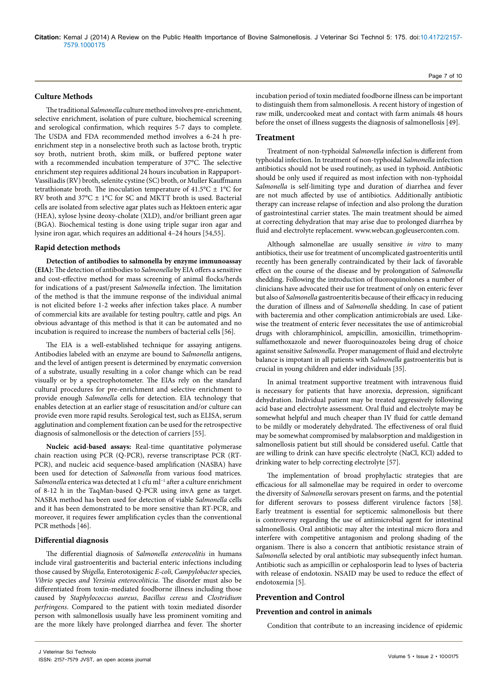## **Culture Methods**

The traditional *Salmonella* culture method involves pre-enrichment, selective enrichment, isolation of pure culture, biochemical screening and serological confirmation, which requires 5-7 days to complete. The USDA and FDA recommended method involves a 6-24 h preenrichment step in a nonselective broth such as lactose broth, tryptic soy broth, nutrient broth, skim milk, or buffered peptone water with a recommended incubation temperature of 37°C. The selective enrichment step requires additional 24 hours incubation in Rappaport-Vassiliadis (RV) broth, selenite cystine (SC) broth, or Muller Kauffmann tetrathionate broth. The inoculation temperature of  $41.5^{\circ}C \pm 1^{\circ}C$  for RV broth and 37°C ± 1°C for SC and MKTT broth is used. Bacterial cells are isolated from selective agar plates such as Hektoen enteric agar (HEA), xylose lysine deoxy-cholate (XLD), and/or brilliant green agar (BGA). Biochemical testing is done using triple sugar iron agar and lysine iron agar, which requires an additional 4–24 hours [54,55].

## **Rapid detection methods**

**Detection of antibodies to salmonella by enzyme immunoassay (EIA):** The detection of antibodies to *Salmonella* by EIA offers a sensitive and cost-effective method for mass screening of animal flocks/herds for indications of a past/present *Salmonella* infection. The limitation of the method is that the immune response of the individual animal is not elicited before 1-2 weeks after infection takes place. A number of commercial kits are available for testing poultry, cattle and pigs. An obvious advantage of this method is that it can be automated and no incubation is required to increase the numbers of bacterial cells [56].

The EIA is a well-established technique for assaying antigens. Antibodies labeled with an enzyme are bound to *Salmonella* antigens, and the level of antigen present is determined by enzymatic conversion of a substrate, usually resulting in a color change which can be read visually or by a spectrophotometer. The EIAs rely on the standard cultural procedures for pre-enrichment and selective enrichment to provide enough *Salmonella* cells for detection. EIA technology that enables detection at an earlier stage of resuscitation and/or culture can provide even more rapid results. Serological test, such as ELISA, serum agglutination and complement fixation can be used for the retrospective diagnosis of salmonellosis or the detection of carriers [55].

**Nucleic acid-based assays:** Real-time quantitative polymerase chain reaction using PCR (Q-PCR), reverse transcriptase PCR (RT-PCR), and nucleic acid sequence-based amplification (NASBA) have been used for detection of *Salmonella* from various food matrices. *Salmonella* enterica was detected at 1 cfu ml−1 after a culture enrichment of 8-12 h in the TaqMan-based Q-PCR using invA gene as target. NASBA method has been used for detection of viable *Salmonella* cells and it has been demonstrated to be more sensitive than RT-PCR, and moreover, it requires fewer amplification cycles than the conventional PCR methods [46].

#### **Differential diagnosis**

The differential diagnosis of *Salmonella enterocolitis* in humans include viral gastroenteritis and bacterial enteric infections including those caused by *Shigella,* Enterotoxigenic *E-coli, Campylobacter* species*, Vibrio* species *and Yersinia enterocoliticia*. The disorder must also be differentiated from toxin-mediated foodborne illness including those caused by *Staphylococcus aureus*, *Bacillus cereus* and *Clostridium perfringens*. Compared to the patient with toxin mediated disorder person with salmonellosis usually have less prominent vomiting and are the more likely have prolonged diarrhea and fever. The shorter Page 7 of 10

incubation period of toxin mediated foodborne illness can be important to distinguish them from salmonellosis. A recent history of ingestion of raw milk, undercooked meat and contact with farm animals 48 hours before the onset of illness suggests the diagnosis of salmonellosis [49].

## **Treatment**

Treatment of non-typhoidal *Salmonella* infection is different from typhoidal infection. In treatment of non-typhoidal *Salmonella* infection antibiotics should not be used routinely, as used in typhoid. Antibiotic should be only used if required as most infection with non-typhoidal *Salmonella* is self-limiting type and duration of diarrhea and fever are not much affected by use of antibiotics. Additionally antibiotic therapy can increase relapse of infection and also prolong the duration of gastrointestinal carrier states. The main treatment should be aimed at correcting dehydration that may arise due to prolonged diarrhea by fluid and electrolyte replacement. www.webcan.gogleuserconten.com.

Although salmonellae are usually sensitive *in vitro* to many antibiotics, their use for treatment of uncomplicated gastroenteritis until recently has been generally contraindicated by their lack of favorable effect on the course of the disease and by prolongation of *Salmonella* shedding. Following the introduction of fluoroquinolones a number of clinicians have advocated their use for treatment of only on enteric fever but also of *Salmonella* gastroenteritis because of their efficacy in reducing the duration of illness and of *Salmonella* shedding. In case of patient with bacteremia and other complication antimicrobials are used. Likewise the treatment of enteric fever necessitates the use of antimicrobial drugs with chloramphinicol, ampicillin, amoxicillin, trimethoprimsulfamethoxazole and newer fluoroquinoazoles being drug of choice against sensitive *Salmonella*. Proper management of fluid and electrolyte balance is impotant in all patients with *Salmonella* gastroenteritis but is crucial in young children and elder individuals [35].

In animal treatment supportive treatment with intravenous fluid is necessary for patients that have anorexia, depression, significant dehydration. Individual patient may be treated aggressively following acid base and electrolyte assessment. Oral fluid and electrolyte may be somewhat helpful and much cheaper than IV fluid for cattle demand to be mildly or moderately dehydrated. The effectiveness of oral fluid may be somewhat compromised by malabsorption and maldigestion in salmonellosis patient but still should be considered useful. Cattle that are willing to drink can have specific electrolyte (NaCl, KCl) added to drinking water to help correcting electrolyte [57].

The implementation of broad prophylactic strategies that are efficacious for all salmonellae may be required in order to overcome the diversity of *Salmonella* serovars present on farms, and the potential for different serovars to possess different virulence factors [58]. Early treatment is essential for septicemic salmonellosis but there is controversy regarding the use of antimicrobial agent for intestinal salmonellosis. Oral antibiotic may alter the intestinal micro flora and interfere with competitive antagonism and prolong shading of the organism. There is also a concern that antibiotic resistance strain of *Salmonella* selected by oral antibiotic may subsequently infect human. Antibiotic such as ampicillin or cephalosporin lead to lyses of bacteria with release of endotoxin. NSAID may be used to reduce the effect of endotoxemia [5].

## **Prevention and Control**

## **Prevention and control in animals**

Condition that contribute to an increasing incidence of epidemic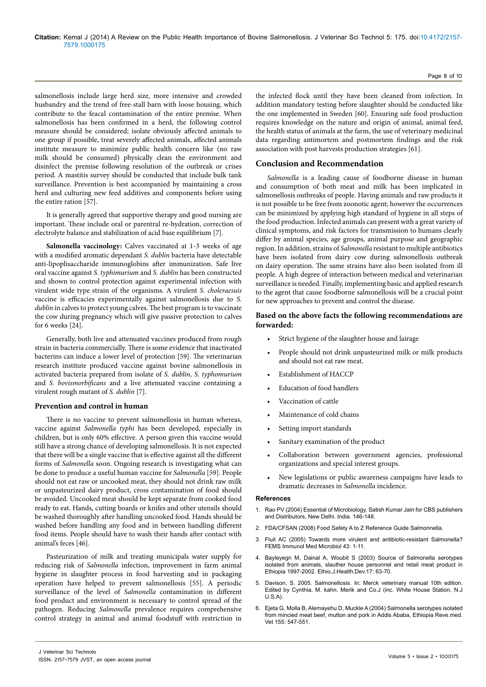salmonellosis include large herd size, more intensive and crowded husbandry and the trend of free-stall barn with loose housing, which contribute to the feacal contamination of the entire premise. When salmonellosis has been confirmed in a herd, the following control measure should be considered; isolate obviously affected animals to one group if possible, treat severely affected animals, affected animals institute measure to minimize public health concern like (no raw milk should be consumed) physically clean the environment and disinfect the premise following resolution of the outbreak or crises period. A mastitis survey should be conducted that include bulk tank surveillance. Prevention is best accompanied by maintaining a cross herd and culturing new feed additives and components before using the entire ration [57].

It is generally agreed that supportive therapy and good nursing are important. These include oral or parentral re-hydration, correction of electrolyte balance and stabilization of acid base equilibrium [7].

**Salmonella vaccinology:** Calves vaccinated at 1-3 weeks of age with a modified aromatic dependant *S. dublin* bacteria have detectable anti-lipoplisaccharide immunoglobins after immunization. Safe live oral vaccine against *S. typhimurium* and *S. dublin* has been constructed and shown to control protection against experimental infection with virulent wide type strain of the organisms. A virulent *S. choleraesuis*  vaccine is efficacies experimentally against salmonellosis due to *S. dublin* in calves to protect young calves. The best program is to vaccinate the cow during pregnancy which will give passive protection to calves for 6 weeks [24].

Generally, both live and attenuated vaccines produced from rough strain in bacteria commercially. There is some evidence that inactivated bacterins can induce a lower level of protection [59]. The veterinarian research institute produced vaccine against bovine salmonellosis in activated bacteria prepared from isolate of *S. dublin*, *S. typhomurium*  and *S. bovismorbificans* and a live attenuated vaccine containing a virulent rough mutant of *S. dublin* [7].

## **Prevention and control in human**

There is no vaccine to prevent salmonellosis in human whereas, vaccine against *Salmonella typhi* has been developed, especially in children, but is only 60% effective. A person given this vaccine would still have a strong chance of developing salmonellosis. It is not expected that there will be a single vaccine that is effective against all the different forms of *Salmonella* soon. Ongoing research is investigating what can be done to produce a useful human vaccine for *Salmonella* [59]. People should not eat raw or uncooked meat, they should not drink raw milk or unpasteurized dairy product, cross contamination of food should be avoided. Uncooked meat should be kept separate from cooked food ready to eat. Hands, cutting boards or knifes and other utensils should be washed thoroughly after handling uncooked food. Hands should be washed before handling any food and in between handling different food items. People should have to wash their hands after contact with animal's feces [46].

Pasteurization of milk and treating municipals water supply for reducing risk of *Salmonella* infection, improvement in farm animal hygiene in slaughter process in food harvesting and in packaging operation have helped to prevent salmonellosis [55]. A periodic surveillance of the level of *Salmonella* contamination in different food product and environment is necessary to control spread of the pathogen. Reducing *Salmonella* prevalence requires comprehensive control strategy in animal and animal foodstuff with restriction in

the infected flock until they have been cleaned from infection. In addition mandatory testing before slaughter should be conducted like the one implemented in Sweden [60]. Ensuring safe food production requires knowledge on the nature and origin of animal, animal feed, the health status of animals at the farm, the use of veterinary medicinal data regarding antimortem and postmortem findings and the risk association with post harvests production strategies [61].

## **Conclusion and Recommendation**

*Salmonella* is a leading cause of foodborne disease in human and consumption of both meat and milk has been implicated in salmonellosis outbreaks of people. Having animals and raw products it is not possible to be free from zoonotic agent; however the occurrences can be minimized by applying high standard of hygiene in all steps of the food production. Infected animals can present with a great variety of clinical symptoms, and risk factors for transmission to humans clearly differ by animal species, age groups, animal purpose and geographic region. In addition, strains of *Salmonella* resistant to multiple antibiotics have been isolated from dairy cow during salmonellosis outbreak on dairy operation. The same strains have also been isolated from ill people. A high degree of interaction between medical and veterinarian surveillance is needed. Finally, implementing basic and applied research to the agent that cause foodborne salmonellosis will be a crucial point for new approaches to prevent and control the disease.

## **Based on the above facts the following recommendations are forwarded:**

- Strict hygiene of the slaughter house and lairage
- People should not drink unpasteurized milk or milk products and should not eat raw meat.
- Establishment of HACCP
- Education of food handlers
- Vaccination of cattle
- Maintenance of cold chains
- Setting import standards
- Sanitary examination of the product
- Collaboration between government agencies, professional organizations and special interest groups.
- New legislations or public awareness campaigns have leads to dramatic decreases in *Salmonella* incidence.

#### **References**

- 1. Rao PV (2004) Essential of Microbiology. Satish Kumar Jain for CBS publishers and Distributors, New Delhi. India. 146-148.
- 2. [FDA/CFSAN \(2008\) Food Safety A to Z Reference Guide Salmonnella.](http://www.medgyan.com/index.php?option=symptoms&deId=582)
- 3. [Fluit AC \(2005\) Towards more virulent and antibiotic-resistant Salmonella?](http://www.ncbi.nlm.nih.gov/pubmed/15607630)  [FEMS Immunol Med Microbiol 43: 1-11.](http://www.ncbi.nlm.nih.gov/pubmed/15607630)
- 4. [Bayleyegn M, Dainal A, Woubit S \(2003\) Source of Salmonella serotypes](http://ejhd.uib.no/ejhdv17-no1/ejhdv17-n1-page63.pdf)  [isolated from animals, slauther house personnel and retail meat product in](http://ejhd.uib.no/ejhdv17-no1/ejhdv17-n1-page63.pdf)  [Ethiopia 1997-2002. Ethio.J.Health.Dev.17: 63-70.](http://ejhd.uib.no/ejhdv17-no1/ejhdv17-n1-page63.pdf)
- 5. Davison, S. 2005. Salmonellosis. In: Merck veterinary manual 10th edition. Edited by Cynthia, M. kahn. Merik and Co.J (inc. White House Station, N.J U.S.A).
- 6. [Ejeta G, Molla B, Alemayehu D, Muckle A \(2004\) Salmonella serotypes isolated](http://www.revmedvet.com/artdes-us.php?id=1272)  [from mincied meat beef, mutton and pork in Addis Ababa, Ethiopia Reve.med.](http://www.revmedvet.com/artdes-us.php?id=1272) [Vet 155: 547-551.](http://www.revmedvet.com/artdes-us.php?id=1272)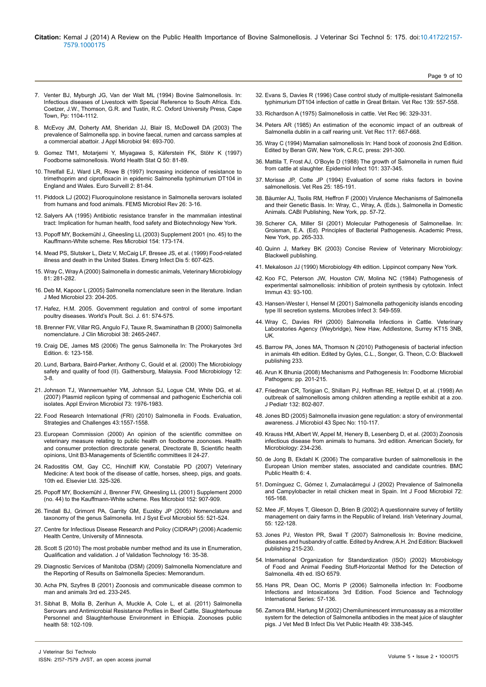- 7. [Venter BJ, Myburgh JG, Van der Walt ML \(1994\) Bovine Salmonellosis. In:](http://www.roavs.com/pdf-files/Issue_1_2013/20-24.pdf) [Infectious diseases of Livestock with Special Reference to South Africa. Eds.](http://www.roavs.com/pdf-files/Issue_1_2013/20-24.pdf) [Coetzer, J.W., Thomson, G.R. and Tustin, R.C. Oxford University Press, Cape](http://www.roavs.com/pdf-files/Issue_1_2013/20-24.pdf) [Town, Pp: 1104-1112.](http://www.roavs.com/pdf-files/Issue_1_2013/20-24.pdf)
- 8. [McEvoy JM, Doherty AM, Sheridan JJ, Blair IS, McDowell DA \(2003\) The](http://www.ncbi.nlm.nih.gov/pubmed/12631205) [prevalence of Salmonella spp. in bovine faecal, rumen and carcass samples at](http://www.ncbi.nlm.nih.gov/pubmed/12631205) [a commercial abattoir. J Appl Microbiol 94: 693-700.](http://www.ncbi.nlm.nih.gov/pubmed/12631205)
- 9. [Gomez TM1, Motarjemi Y, Miyagawa S, Käferstein FK, Stöhr K \(1997\)](http://www.ncbi.nlm.nih.gov/pubmed/9282390) [Foodborne salmonellosis. World Health Stat Q 50: 81-89.](http://www.ncbi.nlm.nih.gov/pubmed/9282390)
- 10. [Threlfall EJ, Ward LR, Rowe B \(1997\) Increasing incidence of resistance to](http://www.ncbi.nlm.nih.gov/pubmed/12631789) [trimethoprim and ciprofloxacin in epidemic Salmonella typhimurium DT104 in](http://www.ncbi.nlm.nih.gov/pubmed/12631789) [England and Wales. Euro Surveill 2: 81-84.](http://www.ncbi.nlm.nih.gov/pubmed/12631789)
- 11. [Piddock LJ \(2002\) Fluoroquinolone resistance in Salmonella serovars isolated](http://www.ncbi.nlm.nih.gov/pubmed/12007640) [from humans and food animals. FEMS Microbiol Rev 26: 3-16.](http://www.ncbi.nlm.nih.gov/pubmed/12007640)
- 12. [Salyers AA \(1995\) Antibiotic resistance transfer in the mammalian intestinal](http://cid.oxfordjournals.org/content/34/Supplement_3/S93.long) [tract: Implication for human health, food safety and Biotechnology New York.](http://cid.oxfordjournals.org/content/34/Supplement_3/S93.long)
- 13. [Popoff MY, Bockemühl J, Gheesling LL \(2003\) Supplement 2001 \(no. 45\) to the](http://www.ncbi.nlm.nih.gov/pubmed/12706505) [Kauffmann-White scheme. Res Microbiol 154: 173-174.](http://www.ncbi.nlm.nih.gov/pubmed/12706505)
- 14. [Mead PS, Slutsker L, Dietz V, McCaig LF, Bresee JS, et al. \(1999\) Food-related](http://www.ncbi.nlm.nih.gov/pubmed/10511517) [illness and death in the United States. Emerg Infect Dis 5: 607-625.](http://www.ncbi.nlm.nih.gov/pubmed/10511517)
- 15. [Wray C, Wray A \(2000\) Salmonella in domestic animals, Veterinary Microbiology](http://www.amazon.com/Salmonella-Domestic-Animals-Cabi-Clifford/dp/0851992617) [81: 281-282.](http://www.amazon.com/Salmonella-Domestic-Animals-Cabi-Clifford/dp/0851992617)
- 16. [Deb M, Kapoor L \(2005\) Salmonella nomenclature seen in the literature. Indian](http://www.ncbi.nlm.nih.gov/pubmed/16100433) [J Med Microbiol 23: 204-205.](http://www.ncbi.nlm.nih.gov/pubmed/16100433)
- 17. Hafez, H.M. 2005. Government regulation and control of some important poultry diseases. World's Poult. Sci. J. 61: 574-575.
- 18. [Brenner FW, Villar RG, Angulo FJ, Tauxe R, Swaminathan B \(2000\) Salmonella](http://www.ncbi.nlm.nih.gov/pubmed/10878026) [nomenclature. J Clin Microbiol 38: 2465-2467.](http://www.ncbi.nlm.nih.gov/pubmed/10878026)
- 19. [Craig DE, James MS \(2006\) The genus Salmonella In: The Prokaryotes 3rd](http://link.springer.com/referenceworkentry/10.1007%2F0-387-30746-X_7) [Edition. 6: 123-158.](http://link.springer.com/referenceworkentry/10.1007%2F0-387-30746-X_7)
- 20. [Lund, Barbara, Baird-Parker, Anthony C, Gould et al. \(2000\) The Microbiology](http://www.springer.com/food+science/book/978-0-8342-1323-4) [safety and quality of food \(II\). Gaithersburg, Malaysia. Food Microbiology 12:](http://www.springer.com/food+science/book/978-0-8342-1323-4) [3-8.](http://www.springer.com/food+science/book/978-0-8342-1323-4)
- 21. [Johnson TJ, Wannemuehler YM, Johnson SJ, Logue CM, White DG, et al.](http://www.ncbi.nlm.nih.gov/pubmed/17277222) [\(2007\) Plasmid replicon typing of commensal and pathogenic Escherichia coli](http://www.ncbi.nlm.nih.gov/pubmed/17277222) [isolates. Appl Environ Microbiol 73: 1976-1983.](http://www.ncbi.nlm.nih.gov/pubmed/17277222)
- 22. Food Research International (FRI) (2010) Salmonella in Foods. Evaluation, Strategies and Challenges 43:1557-1558.
- 23. [European Commission \(2000\) An opinion of the scientific committee on](http://ec.europa.eu/food/fs/sc/scv/out32_en.pdf) [veterinary measure relating to public health on foodborne zoonoses. Health](http://ec.europa.eu/food/fs/sc/scv/out32_en.pdf) [and consumer protection directorate general, Directorate B, Scientific health](http://ec.europa.eu/food/fs/sc/scv/out32_en.pdf) [opinions, Unit B3-Managements of Scientific committees II 24-27.](http://ec.europa.eu/food/fs/sc/scv/out32_en.pdf)
- 24. [Radostitis OM, Gay CC, Hinchliff KW, Constable PD \(2007\) Veterinary](http://www.us.elsevierhealth.com/large-animal/veterinary-medicine-hardcover/9780702027772/) [Medicine: A text book of the disease of cattle, horses, sheep, pigs, and goats.](http://www.us.elsevierhealth.com/large-animal/veterinary-medicine-hardcover/9780702027772/) [10th ed. Elsevier Ltd. 325-326.](http://www.us.elsevierhealth.com/large-animal/veterinary-medicine-hardcover/9780702027772/)
- 25. [Popoff MY, Bockemühl J, Brenner FW, Gheesling LL \(2001\) Supplement 2000](http://www.ncbi.nlm.nih.gov/pubmed/11766966) [\(no. 44\) to the Kauffmann-White scheme. Res Microbiol 152: 907-909.](http://www.ncbi.nlm.nih.gov/pubmed/11766966)
- 26. [Tindall BJ, Grimont PA, Garrity GM, Euzéby JP \(2005\) Nomenclature and](http://www.ncbi.nlm.nih.gov/pubmed/15653930) [taxonomy of the genus Salmonella. Int J Syst Evol Microbiol 55: 521-524.](http://www.ncbi.nlm.nih.gov/pubmed/15653930)
- 27. Centre for Infectious Disease Research and Policy (CIDRAP) (2006) Academic Health Centre, University of Minnesota.
- 28. [Scott S \(2010\) The most probable number method and its use in Enumeration,](http://www.microbiologynetwork.com/doc/Sutton.jvt_.16.3.pdf) [Qualification and validation. J of Validation Technology 16: 35-38.](http://www.microbiologynetwork.com/doc/Sutton.jvt_.16.3.pdf)
- 29. [Diagnostic Services of Manitoba \(DSM\) \(2009\) Salmonella Nomenclature and](http://www.dsmanitoba.ca/professionals/files/MemoSalmonellareportsJune2009.pdf) [the Reporting of Results on Salmonella Species: Memorandum.](http://www.dsmanitoba.ca/professionals/files/MemoSalmonellareportsJune2009.pdf)
- 30. [Acha PN, Szyfres B \(2001\) Zoonosis and communicable disease common to](http://www.paho.org/hq/index.php?option=com_docman&task=doc_view&gid=19187&Itemid=) [man and animals 3rd ed. 233-245.](http://www.paho.org/hq/index.php?option=com_docman&task=doc_view&gid=19187&Itemid=)
- 31. [Sibhat B, Molla B, Zerihun A, Muckle A, Cole L, et al. \(2011\) Salmonella](http://www.ncbi.nlm.nih.gov/pubmed/20042064) [Serovars and Antimicrobial Resistance Profiles in Beef Cattle, Slaughterhouse](http://www.ncbi.nlm.nih.gov/pubmed/20042064) [Personnel and Slaughterhouse Environment in Ethiopia. Zoonoses public](http://www.ncbi.nlm.nih.gov/pubmed/20042064) [health 58: 102-109.](http://www.ncbi.nlm.nih.gov/pubmed/20042064)
- 32. [Evans S, Davies R \(1996\) Case control study of multiple-resistant Salmonella](http://www.ncbi.nlm.nih.gov/pubmed/8972066)  [typhimurium DT104 infection of cattle in Great Britain. Vet Rec 139: 557-558.](http://www.ncbi.nlm.nih.gov/pubmed/8972066)
- 33. [Richardson A \(1975\) Salmonellosis in cattle. Vet Rec 96: 329-331.](http://www.ncbi.nlm.nih.gov/pubmed/1092311)
- 34. [Peters AR \(1985\) An estimation of the economic impact of an outbreak of](http://www.ncbi.nlm.nih.gov/pubmed/4095884)  [Salmonella dublin in a calf rearing unit. Vet Rec 117: 667-668.](http://www.ncbi.nlm.nih.gov/pubmed/4095884)
- 35. Wray C (1994) Mamalian salmonellosis In: Hand book of zoonosis 2nd Edition. Edited by Beran GW, New York, C.R.C, press: 291-300.
- 36. [Mattila T, Frost AJ, O'Boyle D \(1988\) The growth of Salmonella in rumen fluid](http://www.ncbi.nlm.nih.gov/pubmed/3181316)  [from cattle at slaughter. Epidemiol Infect 101: 337-345.](http://www.ncbi.nlm.nih.gov/pubmed/3181316)
- 37. [Morisse JP, Cotte JP \(1994\) Evaluation of some risks factors in bovine](http://www.ncbi.nlm.nih.gov/pubmed/8038782)  [salmonellosis. Vet Res 25: 185-191.](http://www.ncbi.nlm.nih.gov/pubmed/8038782)
- 38. Bäumler AJ, Tsolis RM, Heffron F (2000) Virulence Mechanisms of Salmonella and their Genetic Basis. In: Wray, C., Wray, A. (Eds.), Salmonella in Domestic Animals. CABI Publishing, New York, pp. 57-72.
- 39. Scherer CA, Miller SI (2001) Molecular Pathogenesis of Salmonellae. In: Groisman, E.A. (Ed). Principles of Bacterial Pathogenesis. Academic Press, New York, pp. 265-333.
- 40. [Quinn J, Markey BK \(2003\) Concise Review of Veterinary Microbiology:](http://www.abebooks.com/Concise-Review-Veterinary-Microbiology-Quinn-Markey/7531319868/bd)  [Blackwell publishing.](http://www.abebooks.com/Concise-Review-Veterinary-Microbiology-Quinn-Markey/7531319868/bd)
- 41. Mekaloson JJ (1990) Microbiology 4th edition. Lippincot company New York.
- 42. [Koo FC, Peterson JW, Houston CW, Molina NC \(1984\) Pathogenesis of](http://www.ncbi.nlm.nih.gov/pubmed/6360911)  [experimental salmonellosis: inhibition of protein synthesis by cytotoxin. Infect](http://www.ncbi.nlm.nih.gov/pubmed/6360911)  [Immun 43: 93-100.](http://www.ncbi.nlm.nih.gov/pubmed/6360911)
- 43. [Hansen-Wester I, Hensel M \(2001\) Salmonella pathogenicity islands encoding](http://www.ncbi.nlm.nih.gov/pubmed/11418329)  [type III secretion systems. Microbes Infect 3: 549-559.](http://www.ncbi.nlm.nih.gov/pubmed/11418329)
- 44. Wray C, Davies RH (2000) Salmonella Infections in Cattle. Veterinary Laboratories Agency (Weybridge), New Haw, Addlestone, Surrey KT15 3NB, UK.
- 45. [Barrow PA, Jones MA, Thomson N \(2010\) Pathogenesis of bacterial infection](http://as.wiley.com/WileyCDA/WileyTitle/productCd-0813812372.html)  [in animals 4th edition. Edited by Gyles, C.L., Songer, G. Theon, C.O: Blackwell](http://as.wiley.com/WileyCDA/WileyTitle/productCd-0813812372.html)  [publishing 233.](http://as.wiley.com/WileyCDA/WileyTitle/productCd-0813812372.html)
- 46. [Arun K Bhunia \(2008\) Mechanisms and Pathogenesis In: Foodborne Microbial](http://books.google.co.in/books/about/Foodborne_Microbial_Pathogens.html?id=EcowngEACAAJ&redir_esc=y)  [Pathogens: pp. 201-215.](http://books.google.co.in/books/about/Foodborne_Microbial_Pathogens.html?id=EcowngEACAAJ&redir_esc=y)
- 47. [Friedman CR, Torigian C, Shillam PJ, Hoffman RE, Heltzel D, et al. \(1998\) An](http://www.ncbi.nlm.nih.gov/pubmed/9602189)  [outbreak of salmonellosis among children attending a reptile exhibit at a zoo.](http://www.ncbi.nlm.nih.gov/pubmed/9602189)  [J Pediatr 132: 802-807.](http://www.ncbi.nlm.nih.gov/pubmed/9602189)
- 48. [Jones BD \(2005\) Salmonella invasion gene regulation: a story of environmental](http://www.ncbi.nlm.nih.gov/pubmed/15765064)  [awareness. J Microbiol 43 Spec No: 110-117.](http://www.ncbi.nlm.nih.gov/pubmed/15765064)
- 49. Krauss HM, Albert W, Appel M, Henery B, Lesenberg D, et al. (2003) Zoonosis infectious disease from animals to humans. 3rd edition. American Society, for Microbiology: 234-236.
- 50. [de Jong B, Ekdahl K \(2006\) The comparative burden of salmonellosis in the](http://www.ncbi.nlm.nih.gov/pubmed/16403230)  [European Union member states, associated and candidate countries. BMC](http://www.ncbi.nlm.nih.gov/pubmed/16403230)  [Public Health 6: 4.](http://www.ncbi.nlm.nih.gov/pubmed/16403230)
- 51. [Domínguez C, Gómez I, Zumalacárregui J \(2002\) Prevalence of Salmonella](http://www.ncbi.nlm.nih.gov/pubmed/11843408)  [and Campylobacter in retail chicken meat in Spain. Int J Food Microbiol 72:](http://www.ncbi.nlm.nih.gov/pubmed/11843408)  [165-168.](http://www.ncbi.nlm.nih.gov/pubmed/11843408)
- 52. [Mee JF, Moyes T, Gleeson D, Brien B \(2002\) A questionnaire survey of fertility](http://www.irishvetjournal.org/content/57/3/158)  [management on dairy farms in the Republic of Ireland. Irish Veterinary Journal,](http://www.irishvetjournal.org/content/57/3/158)  [55: 122-128.](http://www.irishvetjournal.org/content/57/3/158)
- 53. Jones PJ, Weston PR, Swail T (2007) Salmonellosis In: Bovine medicine, diseases and husbandry of cattle. Edited by Andrew, A.H. 2nd Edition: Blackwell publishing 215-230.
- 54. [International Organization for Standardization \(ISO\) \(2002\) Microbiology](http://www.iso.org/iso/catalogue_detail.htm?csnumber=29315)  [of Food and Animal Feeding Stuff-Horizontal Method for the Detection of](http://www.iso.org/iso/catalogue_detail.htm?csnumber=29315)  [Salmonella. 4th ed. ISO 6579.](http://www.iso.org/iso/catalogue_detail.htm?csnumber=29315)
- 55. [Hans PR, Dean OC, Morris P \(2006\) Salmonella infection In: Foodborne](http://store.elsevier.com/Foodborne-Infections-and-Intoxications/isbn-9780080454115/)  [Infections and Intoxications 3rd Edition. Food Science and Technology](http://store.elsevier.com/Foodborne-Infections-and-Intoxications/isbn-9780080454115/)  [International Series: 57-136.](http://store.elsevier.com/Foodborne-Infections-and-Intoxications/isbn-9780080454115/)
- 56. [Zamora BM, Hartung M \(2002\) Chemiluminescent immunoassay as a microtiter](http://www.ncbi.nlm.nih.gov/pubmed/12420869)  [system for the detection of Salmonella antibodies in the meat juice of slaughter](http://www.ncbi.nlm.nih.gov/pubmed/12420869)  [pigs. J Vet Med B Infect Dis Vet Public Health 49: 338-345.](http://www.ncbi.nlm.nih.gov/pubmed/12420869)